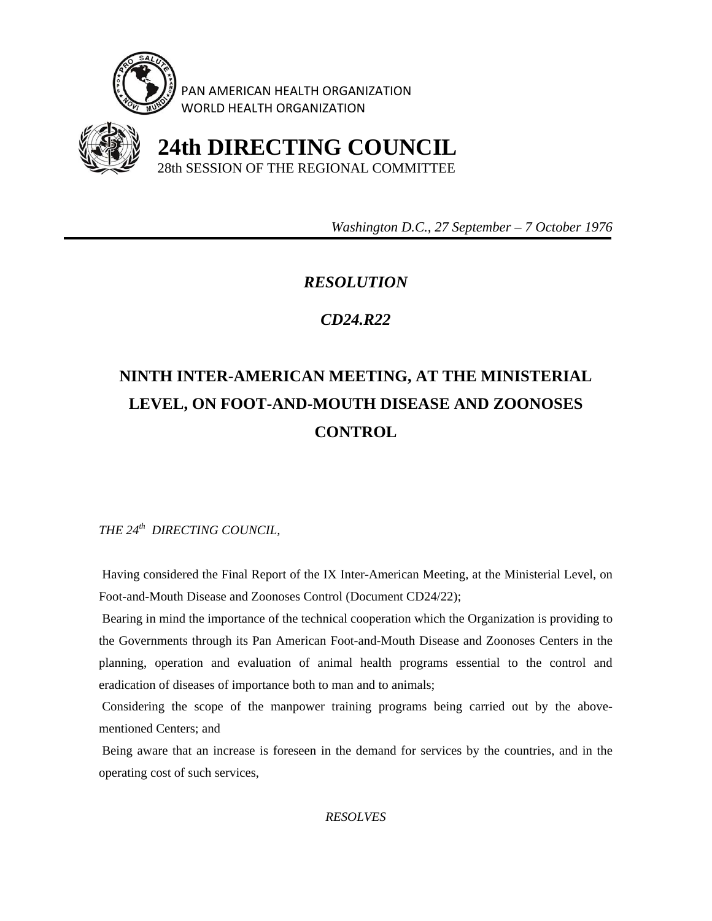

PAN AMERICAN HEALTH ORGANIZATION WORLD HEALTH ORGANIZATION



 **24th DIRECTING COUNCIL** 28th SESSION OF THE REGIONAL COMMITTEE

 *Washington D.C., 27 September – 7 October 1976* 

## *RESOLUTION*

## *CD24.R22*

## **NINTH INTER-AMERICAN MEETING, AT THE MINISTERIAL LEVEL, ON FOOT-AND-MOUTH DISEASE AND ZOONOSES CONTROL**

*THE 24th DIRECTING COUNCIL,* 

 Having considered the Final Report of the IX Inter-American Meeting, at the Ministerial Level, on Foot-and-Mouth Disease and Zoonoses Control (Document CD24/22);

 Bearing in mind the importance of the technical cooperation which the Organization is providing to the Governments through its Pan American Foot-and-Mouth Disease and Zoonoses Centers in the planning, operation and evaluation of animal health programs essential to the control and eradication of diseases of importance both to man and to animals;

 Considering the scope of the manpower training programs being carried out by the abovementioned Centers; and

 Being aware that an increase is foreseen in the demand for services by the countries, and in the operating cost of such services,

*RESOLVES*